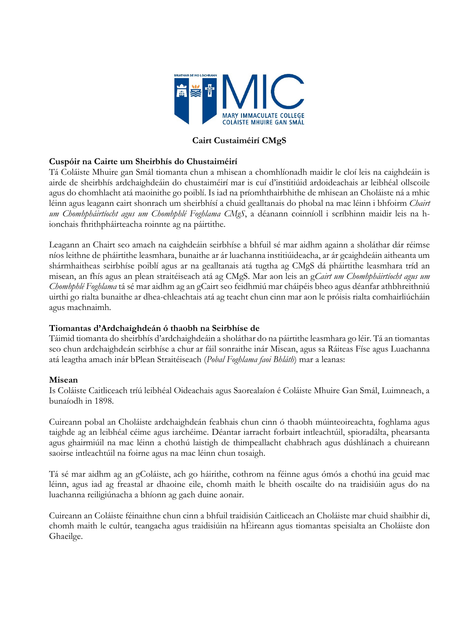

## **Cairt Custaiméirí CMgS**

## **Cuspóir na Cairte um Sheirbhís do Chustaiméirí**

Tá Coláiste Mhuire gan Smál tiomanta chun a mhisean a chomhlíonadh maidir le cloí leis na caighdeáin is airde de sheirbhís ardchaighdeáin do chustaiméirí mar is cuí d'institiúid ardoideachais ar leibhéal ollscoile agus do chomhlacht atá maoinithe go poiblí. Is iad na príomhthairbhithe de mhisean an Choláiste ná a mhic léinn agus leagann cairt shonrach um sheirbhísí a chuid gealltanais do phobal na mac léinn i bhfoirm *Chairt um Chomhpháirtíocht agus um Chomhphlé Foghlama CMgS*, a déanann coinníoll i scríbhinn maidir leis na hionchais fhrithpháirteacha roinnte ag na páirtithe.

Leagann an Chairt seo amach na caighdeáin seirbhíse a bhfuil sé mar aidhm againn a sholáthar dár réimse níos leithne de pháirtithe leasmhara, bunaithe ar ár luachanna institiúideacha, ar ár gcaighdeáin aitheanta um shármhaitheas seirbhíse poiblí agus ar na gealltanais atá tugtha ag CMgS dá pháirtithe leasmhara tríd an misean, an fhís agus an plean straitéiseach atá ag CMgS. Mar aon leis an g*Cairt um Chomhpháirtíocht agus um Chomhphlé Foghlama* tá sé mar aidhm ag an gCairt seo feidhmiú mar cháipéis bheo agus déanfar athbhreithniú uirthi go rialta bunaithe ar dhea-chleachtais atá ag teacht chun cinn mar aon le próisis rialta comhairliúcháin agus machnaimh.

## **Tiomantas d'Ardchaighdeán ó thaobh na Seirbhíse de**

Táimid tiomanta do sheirbhís d'ardchaighdeáin a sholáthar do na páirtithe leasmhara go léir. Tá an tiomantas seo chun ardchaighdeán seirbhíse a chur ar fáil sonraithe inár Misean, agus sa Ráiteas Físe agus Luachanna atá leagtha amach inár bPlean Straitéiseach (*Pobal Foghlama faoi Bhláth*) mar a leanas:

#### **Misean**

Is Coláiste Caitliceach tríú leibhéal Oideachais agus Saorealaíon é Coláiste Mhuire Gan Smál, Luimneach, a bunaíodh in 1898.

Cuireann pobal an Choláiste ardchaighdeán feabhais chun cinn ó thaobh múinteoireachta, foghlama agus taighde ag an leibhéal céime agus iarchéime. Déantar iarracht forbairt intleachtúil, spioradálta, phearsanta agus ghairmiúil na mac léinn a chothú laistigh de thimpeallacht chabhrach agus dúshlánach a chuireann saoirse intleachtúil na foirne agus na mac léinn chun tosaigh.

Tá sé mar aidhm ag an gColáiste, ach go háirithe, cothrom na féinne agus ómós a chothú ina gcuid mac léinn, agus iad ag freastal ar dhaoine eile, chomh maith le bheith oscailte do na traidisiúin agus do na luachanna reiligiúnacha a bhíonn ag gach duine aonair.

Cuireann an Coláiste féinaithne chun cinn a bhfuil traidisiún Caitliceach an Choláiste mar chuid shaibhir di, chomh maith le cultúr, teangacha agus traidisiúin na hÉireann agus tiomantas speisialta an Choláiste don Ghaeilge.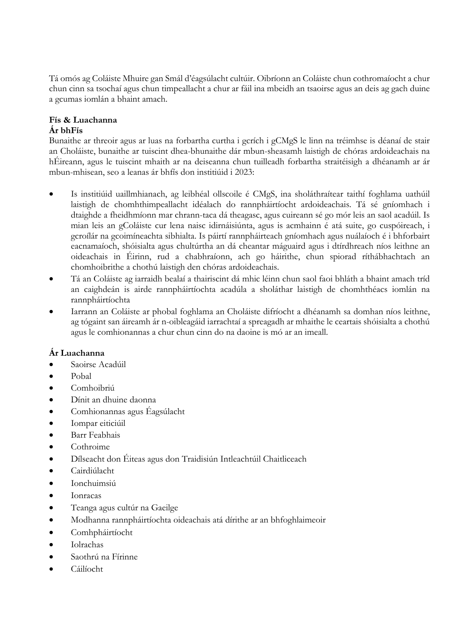Tá omós ag Coláiste Mhuire gan Smál d'éagsúlacht cultúir. Oibríonn an Coláiste chun cothromaíocht a chur chun cinn sa tsochaí agus chun timpeallacht a chur ar fáil ina mbeidh an tsaoirse agus an deis ag gach duine a gcumas iomlán a bhaint amach.

# **Fís & Luachanna**

## **Ár bhFís**

Bunaithe ar threoir agus ar luas na forbartha curtha i gcrích i gCMgS le linn na tréimhse is déanaí de stair an Choláiste, bunaithe ar tuiscint dhea-bhunaithe dár mbun-sheasamh laistigh de chóras ardoideachais na hÉireann, agus le tuiscint mhaith ar na deiseanna chun tuilleadh forbartha straitéisigh a dhéanamh ar ár mbun-mhisean, seo a leanas ár bhfís don institiúid i 2023:

- Is institiúid uaillmhianach, ag leibhéal ollscoile é CMgS, ina sholáthraítear taithí foghlama uathúil laistigh de chomhthimpeallacht idéalach do rannpháirtíocht ardoideachais. Tá sé gníomhach i dtaighde a fheidhmíonn mar chrann-taca dá theagasc, agus cuireann sé go mór leis an saol acadúil. Is mian leis an gColáiste cur lena naisc idirnáisiúnta, agus is acmhainn é atá suite, go cuspóireach, i gcroílár na gcoimíneachta sibhialta. Is páirtí rannpháirteach gníomhach agus nuálaíoch é i bhforbairt eacnamaíoch, shóisialta agus chultúrtha an dá cheantar máguaird agus i dtírdhreach níos leithne an oideachais in Éirinn, rud a chabhraíonn, ach go háirithe, chun spiorad ríthábhachtach an chomhoibrithe a chothú laistigh den chóras ardoideachais.
- Tá an Coláiste ag iarraidh bealaí a thairiscint dá mhic léinn chun saol faoi bhláth a bhaint amach tríd an caighdeán is airde rannpháirtíochta acadúla a sholáthar laistigh de chomhthéacs iomlán na rannpháirtíochta
- Iarrann an Coláiste ar phobal foghlama an Choláiste difríocht a dhéanamh sa domhan níos leithne, ag tógaint san áireamh ár n-oibleagáid iarrachtaí a spreagadh ar mhaithe le ceartais shóisialta a chothú agus le comhionannas a chur chun cinn do na daoine is mó ar an imeall.

## **Ár Luachanna**

- Saoirse Acadúil
- Pobal
- Comhoibriú
- Dínit an dhuine daonna
- Comhionannas agus Éagsúlacht
- Iompar eiticiúil
- Barr Feabhais
- Cothroime
- Dílseacht don Éiteas agus don Traidisiún Intleachtúil Chaitliceach
- Cairdiúlacht
- Ionchuimsiú
- Ionracas
- Teanga agus cultúr na Gaeilge
- Modhanna rannpháirtíochta oideachais atá dírithe ar an bhfoghlaimeoir
- Comhpháirtíocht
- Iolrachas
- Saothrú na Fírinne
- Cáilíocht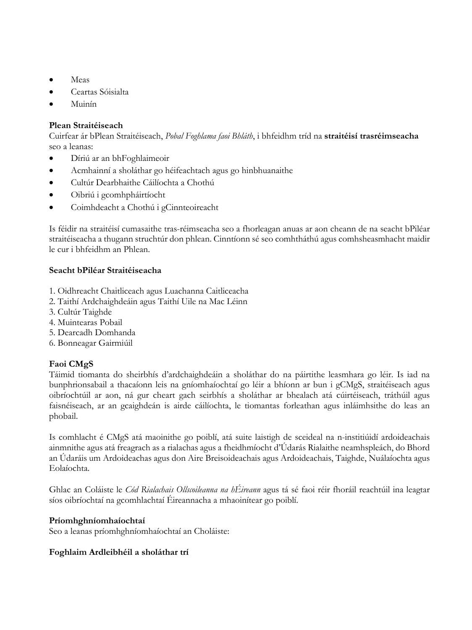- Meas
- Ceartas Sóisialta
- Muinín

## **Plean Straitéiseach**

Cuirfear ár bPlean Straitéiseach, *Pobal Foghlama faoi Bhláth*, i bhfeidhm tríd na **straitéisí trasréimseacha** seo a leanas:

- Díriú ar an bhFoghlaimeoir
- Acmhainní a sholáthar go héifeachtach agus go hinbhuanaithe
- Cultúr Dearbhaithe Cáilíochta a Chothú
- Oibriú i gcomhpháirtíocht
- Coimhdeacht a Chothú i gCinnteoireacht

Is féidir na straitéisí cumasaithe tras-réimseacha seo a fhorleagan anuas ar aon cheann de na seacht bPiléar straitéiseacha a thugann struchtúr don phlean. Cinntíonn sé seo comhtháthú agus comhsheasmhacht maidir le cur i bhfeidhm an Phlean.

## **Seacht bPiléar Straitéiseacha**

- 1. Oidhreacht Chaitliceach agus Luachanna Caitliceacha
- 2. Taithí Ardchaighdeáin agus Taithí Uile na Mac Léinn
- 3. Cultúr Taighde
- 4. Muintearas Pobail
- 5. Dearcadh Domhanda
- 6. Bonneagar Gairmiúil

## **Faoi CMgS**

Táimid tiomanta do sheirbhís d'ardchaighdeáin a sholáthar do na páirtithe leasmhara go léir. Is iad na bunphrionsabail a thacaíonn leis na gníomhaíochtaí go léir a bhíonn ar bun i gCMgS, straitéiseach agus oibríochtúil ar aon, ná gur cheart gach seirbhís a sholáthar ar bhealach atá cúirtéiseach, tráthúil agus faisnéiseach, ar an gcaighdeán is airde cáilíochta, le tiomantas forleathan agus inláimhsithe do leas an phobail.

Is comhlacht é CMgS atá maoinithe go poiblí, atá suite laistigh de sceideal na n-institiúidí ardoideachais ainmnithe agus atá freagrach as a rialachas agus a fheidhmíocht d'Údarás Rialaithe neamhspleách, do Bhord an Údaráis um Ardoideachas agus don Aire Breisoideachais agus Ardoideachais, Taighde, Nuálaíochta agus Eolaíochta.

Ghlac an Coláiste le *Cód Rialachais Ollscoileanna na hÉireann* agus tá sé faoi réir fhoráil reachtúil ina leagtar síos oibríochtaí na gcomhlachtaí Éireannacha a mhaoinítear go poiblí.

## **Príomhghníomhaíochtaí**

Seo a leanas príomhghníomhaíochtaí an Choláiste:

## **Foghlaim Ardleibhéil a sholáthar trí**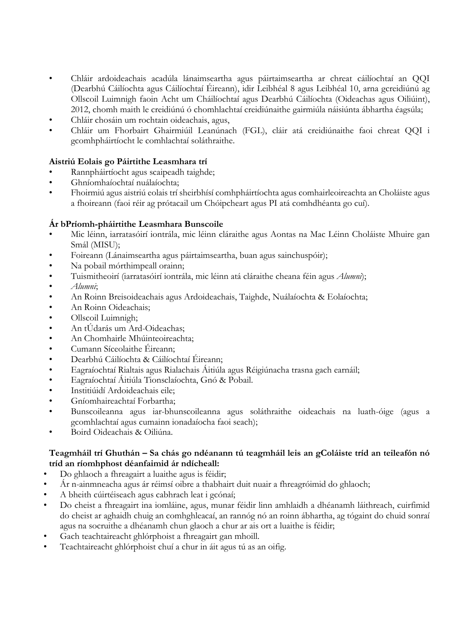- Chláir ardoideachais acadúla lánaimseartha agus páirtaimseartha ar chreat cáilíochtaí an QQI (Dearbhú Cáilíochta agus Cáilíochtaí Éireann), idir Leibhéal 8 agus Leibhéal 10, arna gcreidiúnú ag Ollscoil Luimnigh faoin Acht um Cháilíochtaí agus Dearbhú Cáilíochta (Oideachas agus Oiliúint), 2012, chomh maith le creidiúnú ó chomhlachtaí creidiúnaithe gairmiúla náisiúnta ábhartha éagsúla;
- Chláir chosáin um rochtain oideachais, agus,
- Chláir um Fhorbairt Ghairmiúil Leanúnach (FGL), cláir atá creidiúnaithe faoi chreat QQI i gcomhpháirtíocht le comhlachtaí soláthraithe.

## **Aistriú Eolais go Páirtithe Leasmhara trí**

- Rannpháirtíocht agus scaipeadh taighde;
- Ghníomhaíochtaí nuálaíochta;
- Fhoirmiú agus aistriú eolais trí sheirbhísí comhpháirtíochta agus comhairleoireachta an Choláiste agus a fhoireann (faoi réir ag prótacail um Chóipcheart agus PI atá comhdhéanta go cuí).

## **Ár bPríomh-pháirtithe Leasmhara Bunscoile**

- Mic léinn, iarratasóirí iontrála, mic léinn cláraithe agus Aontas na Mac Léinn Choláiste Mhuire gan Smál (MISU);
- Foireann (Lánaimseartha agus páirtaimseartha, buan agus sainchuspóir);
- Na pobail mórthimpeall orainn;
- Tuismitheoirí (iarratasóirí iontrála, mic léinn atá cláraithe cheana féin agus *Alumni*);
- *Alumni*;
- An Roinn Breisoideachais agus Ardoideachais, Taighde, Nuálaíochta & Eolaíochta;
- An Roinn Oideachais;
- Ollscoil Luimnigh;
- An tÚdarás um Ard-Oideachas;
- An Chomhairle Mhúinteoireachta;
- Cumann Síceolaithe Éireann;
- Dearbhú Cáilíochta & Cáilíochtaí Éireann;
- Eagraíochtaí Rialtais agus Rialachais Áitiúla agus Réigiúnacha trasna gach earnáil;
- Eagraíochtaí Áitiúla Tionsclaíochta, Gnó & Pobail.
- Institiúidí Ardoideachais eile;
- Gníomhaireachtaí Forbartha;
- Bunscoileanna agus iar-bhunscoileanna agus soláthraithe oideachais na luath-óige (agus a gcomhlachtaí agus cumainn ionadaíocha faoi seach);
- Boird Oideachais & Oiliúna.

## **Teagmháil trí Ghuthán – Sa chás go ndéanann tú teagmháil leis an gColáiste tríd an teileafón nó tríd an ríomhphost déanfaimid ár ndícheall:**

- Do ghlaoch a fhreagairt a luaithe agus is féidir;
- Ár n-ainmneacha agus ár réimsí oibre a thabhairt duit nuair a fhreagróimid do ghlaoch;
- A bheith cúirtéiseach agus cabhrach leat i gcónaí;
- Do cheist a fhreagairt ina iomláine, agus, munar féidir linn amhlaidh a dhéanamh láithreach, cuirfimid do cheist ar aghaidh chuig an comhghleacaí, an rannóg nó an roinn ábhartha, ag tógaint do chuid sonraí agus na socruithe a dhéanamh chun glaoch a chur ar ais ort a luaithe is féidir;
- Gach teachtaireacht ghlórphoist a fhreagairt gan mhoill.
- Teachtaireacht ghlórphoist chuí a chur in áit agus tú as an oifig.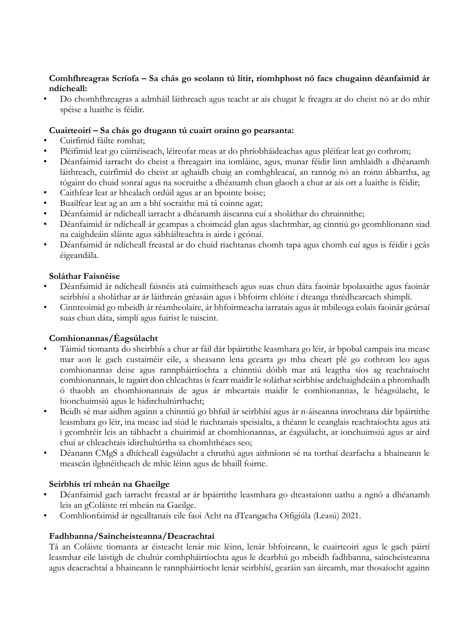#### **Comhfhreagras Scríofa – Sa chás go seolann tú litir, ríomhphost nó facs chugainn déanfaimid ár ndícheall:**

• Do chomhfhreagras a admháil láithreach agus teacht ar ais chugat le freagra ar do cheist nó ar do mhír spéise a luaithe is féidir.

#### **Cuairteoirí – Sa chás go dtugann tú cuairt orainn go pearsanta:**

- Cuirfimid fáilte romhat;
- Pléifimid leat go cúirtéiseach, léireofar meas ar do phríobháideachas agus pléifear leat go cothrom;
- Déanfaimid iarracht do cheist a fhreagairt ina iomláine, agus, munar féidir linn amhlaidh a dhéanamh láithreach, cuirfimid do cheist ar aghaidh chuig an comhghleacaí, an rannóg nó an roinn ábhartha, ag tógaint do chuid sonraí agus na socruithe a dhéanamh chun glaoch a chur ar ais ort a luaithe is féidir;
- Caithfear leat ar bhealach ordúil agus ar an bpointe boise;
- Buailfear leat ag an am a bhí socraithe má tá coinne agat;
- Déanfaimid ár ndícheall iarracht a dhéanamh áiseanna cuí a sholáthar do chruinnithe;
- Déanfaimid ár ndícheall ár gcampas a choimeád glan agus slachtmhar, ag cinntiú go gcomhlíonann siad na caighdeáin sláinte agus sábháilteachta is airde i gcónaí.
- Déanfaimid ár ndícheall freastal ar do chuid riachtanas chomh tapa agus chomh cuí agus is féidir i gcás éigeandála.

#### **Soláthar Faisnéise**

- Déanfaimid ár ndícheall faisnéis atá cuimsitheach agus suas chun dáta faoinár bpolasaithe agus faoinár seirbhísí a sholáthar ar ár láithreán gréasáin agus i bhfoirm chlóite i dteanga thrédhearcach shimplí.
- Cinnteoimid go mbeidh ár réamheolaire, ár bhfoirmeacha iarratais agus ár mbileoga eolais faoinár gcúrsaí suas chun dáta, simplí agus fuirist le tuiscint.

## **Comhionannas/Éagsúlacht**

- Táimid tiomanta do sheirbhís a chur ar fáil dár bpáirtithe leasmhara go léir, ár bpobal campais ina measc mar aon le gach custaiméir eile, a sheasann lena gcearta go mba cheart plé go cothrom leo agus comhionannas deise agus rannpháirtíochta a chinntiú dóibh mar atá leagtha síos ag reachtaíocht comhionannais, le tagairt don chleachtas is fearr maidir le soláthar seirbhíse ardchaighdeáin a phromhadh ó thaobh an chomhionannais de agus ár mbeartais maidir le comhionannas, le héagsúlacht, le hionchuimsiú agus le hidirchultúrthacht;
- Beidh sé mar aidhm againn a chinntiú go bhfuil ár seirbhísí agus ár n-áiseanna inrochtana dár bpáirtithe leasmhara go léir, ina measc iad siúd le riachtanais speisialta, a théann le ceanglais reachtaíochta agus atá i gcomhréir leis an tábhacht a chuirimid ar chomhionannas, ar éagsúlacht, ar ionchuimsiú agus ar aird chuí ar chleachtais idirchultúrtha sa chomhthéacs seo;
- Déanann CMgS a dhícheall éagsúlacht a chruthú agus aithníonn sé na torthaí dearfacha a bhaineann le meascán ilghnéitheach de mhic léinn agus de bhaill foirne.

## **Seirbhís trí mheán na Ghaeilge**

- Déanfaimid gach iarracht freastal ar ár bpáirtithe leasmhara go dteastaíonn uathu a ngnó a dhéanamh leis an gColáiste trí mheán na Gaeilge.
- Comhlíonfaimid ár ngealltanais eile faoi Acht na dTeangacha Oifigiúla (Leasú) 2021.

## **Fadhbanna/Saincheisteanna/Deacrachtaí**

Tá an Coláiste tiomanta ar éisteacht lenár mic léinn, lenár bhfoireann, le cuairteoirí agus le gach páirtí leasmhar eile laistigh de chultúr comhpháirtíochta agus le dearbhú go mbeidh fadhbanna, saincheisteanna agus deacrachtaí a bhaineann le rannpháirtíocht lenár seirbhísí, gearáin san áireamh, mar thosaíocht againn